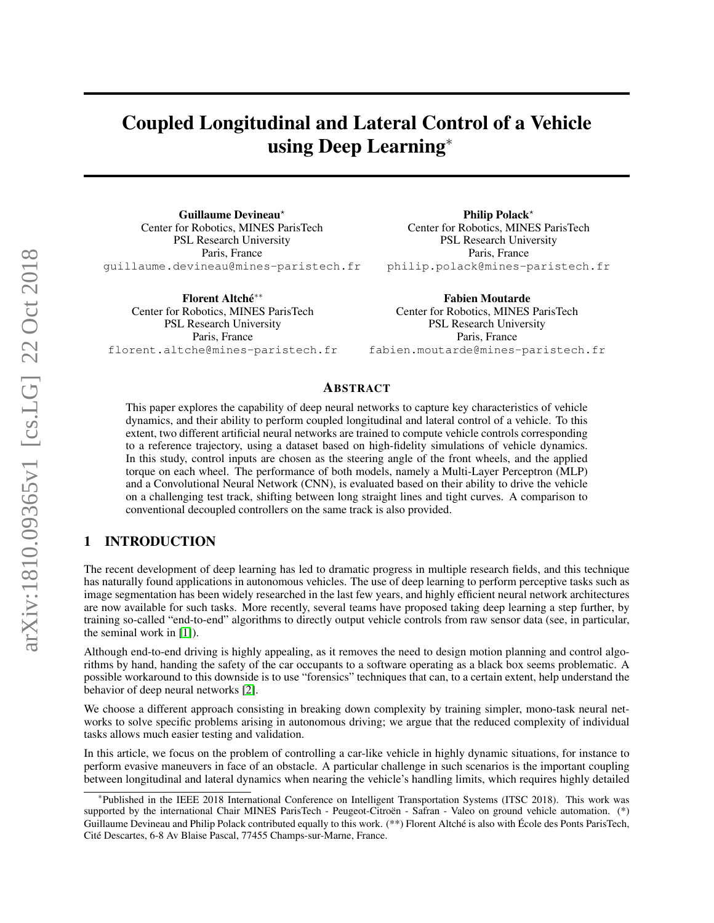# Coupled Longitudinal and Lateral Control of a Vehicle using Deep Learning<sup>∗</sup>

Guillaume Devineau? Center for Robotics, MINES ParisTech PSL Research University Paris, France guillaume.devineau@mines-paristech.fr

Florent Altché\*\* Center for Robotics, MINES ParisTech PSL Research University Paris, France florent.altche@mines-paristech.fr

Philip Polack<sup>\*</sup> Center for Robotics, MINES ParisTech PSL Research University Paris, France philip.polack@mines-paristech.fr

Fabien Moutarde Center for Robotics, MINES ParisTech PSL Research University Paris, France fabien.moutarde@mines-paristech.fr

# ABSTRACT

This paper explores the capability of deep neural networks to capture key characteristics of vehicle dynamics, and their ability to perform coupled longitudinal and lateral control of a vehicle. To this extent, two different artificial neural networks are trained to compute vehicle controls corresponding to a reference trajectory, using a dataset based on high-fidelity simulations of vehicle dynamics. In this study, control inputs are chosen as the steering angle of the front wheels, and the applied torque on each wheel. The performance of both models, namely a Multi-Layer Perceptron (MLP) and a Convolutional Neural Network (CNN), is evaluated based on their ability to drive the vehicle on a challenging test track, shifting between long straight lines and tight curves. A comparison to conventional decoupled controllers on the same track is also provided.

# 1 INTRODUCTION

The recent development of deep learning has led to dramatic progress in multiple research fields, and this technique has naturally found applications in autonomous vehicles. The use of deep learning to perform perceptive tasks such as image segmentation has been widely researched in the last few years, and highly efficient neural network architectures are now available for such tasks. More recently, several teams have proposed taking deep learning a step further, by training so-called "end-to-end" algorithms to directly output vehicle controls from raw sensor data (see, in particular, the seminal work in [\[1\]](#page-11-0)).

Although end-to-end driving is highly appealing, as it removes the need to design motion planning and control algorithms by hand, handing the safety of the car occupants to a software operating as a black box seems problematic. A possible workaround to this downside is to use "forensics" techniques that can, to a certain extent, help understand the behavior of deep neural networks [\[2\]](#page-11-1).

We choose a different approach consisting in breaking down complexity by training simpler, mono-task neural networks to solve specific problems arising in autonomous driving; we argue that the reduced complexity of individual tasks allows much easier testing and validation.

In this article, we focus on the problem of controlling a car-like vehicle in highly dynamic situations, for instance to perform evasive maneuvers in face of an obstacle. A particular challenge in such scenarios is the important coupling between longitudinal and lateral dynamics when nearing the vehicle's handling limits, which requires highly detailed

<sup>∗</sup>Published in the IEEE 2018 International Conference on Intelligent Transportation Systems (ITSC 2018). This work was supported by the international Chair MINES ParisTech - Peugeot-Citroën - Safran - Valeo on ground vehicle automation. (\*) Guillaume Devineau and Philip Polack contributed equally to this work. (\*\*) Florent Altché is also with École des Ponts ParisTech, Cite Descartes, 6-8 Av Blaise Pascal, 77455 Champs-sur-Marne, France. ´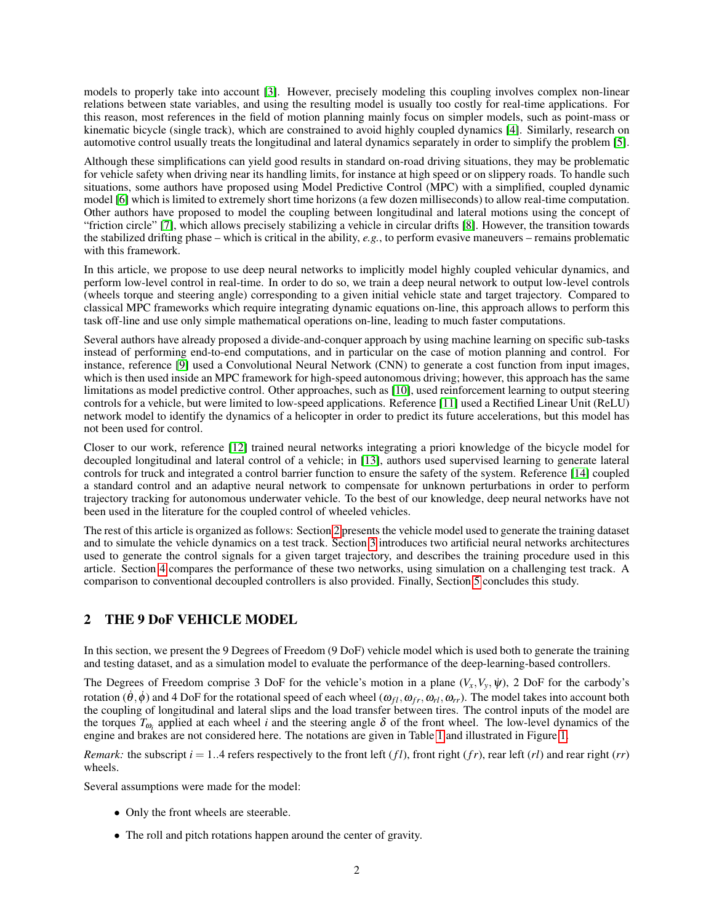models to properly take into account [\[3\]](#page-11-2). However, precisely modeling this coupling involves complex non-linear relations between state variables, and using the resulting model is usually too costly for real-time applications. For this reason, most references in the field of motion planning mainly focus on simpler models, such as point-mass or kinematic bicycle (single track), which are constrained to avoid highly coupled dynamics [\[4\]](#page-11-3). Similarly, research on automotive control usually treats the longitudinal and lateral dynamics separately in order to simplify the problem [\[5\]](#page-11-4).

Although these simplifications can yield good results in standard on-road driving situations, they may be problematic for vehicle safety when driving near its handling limits, for instance at high speed or on slippery roads. To handle such situations, some authors have proposed using Model Predictive Control (MPC) with a simplified, coupled dynamic model [\[6\]](#page-11-5) which is limited to extremely short time horizons (a few dozen milliseconds) to allow real-time computation. Other authors have proposed to model the coupling between longitudinal and lateral motions using the concept of "friction circle" [\[7\]](#page-11-6), which allows precisely stabilizing a vehicle in circular drifts [\[8\]](#page-11-7). However, the transition towards the stabilized drifting phase – which is critical in the ability, *e.g.*, to perform evasive maneuvers – remains problematic with this framework.

In this article, we propose to use deep neural networks to implicitly model highly coupled vehicular dynamics, and perform low-level control in real-time. In order to do so, we train a deep neural network to output low-level controls (wheels torque and steering angle) corresponding to a given initial vehicle state and target trajectory. Compared to classical MPC frameworks which require integrating dynamic equations on-line, this approach allows to perform this task off-line and use only simple mathematical operations on-line, leading to much faster computations.

Several authors have already proposed a divide-and-conquer approach by using machine learning on specific sub-tasks instead of performing end-to-end computations, and in particular on the case of motion planning and control. For instance, reference [\[9\]](#page-11-8) used a Convolutional Neural Network (CNN) to generate a cost function from input images, which is then used inside an MPC framework for high-speed autonomous driving; however, this approach has the same limitations as model predictive control. Other approaches, such as [\[10\]](#page-11-9), used reinforcement learning to output steering controls for a vehicle, but were limited to low-speed applications. Reference [\[11\]](#page-11-10) used a Rectified Linear Unit (ReLU) network model to identify the dynamics of a helicopter in order to predict its future accelerations, but this model has not been used for control.

Closer to our work, reference [\[12\]](#page-11-11) trained neural networks integrating a priori knowledge of the bicycle model for decoupled longitudinal and lateral control of a vehicle; in [\[13\]](#page-11-12), authors used supervised learning to generate lateral controls for truck and integrated a control barrier function to ensure the safety of the system. Reference [\[14\]](#page-11-13) coupled a standard control and an adaptive neural network to compensate for unknown perturbations in order to perform trajectory tracking for autonomous underwater vehicle. To the best of our knowledge, deep neural networks have not been used in the literature for the coupled control of wheeled vehicles.

The rest of this article is organized as follows: Section [2](#page-1-0) presents the vehicle model used to generate the training dataset and to simulate the vehicle dynamics on a test track. Section [3](#page-4-0) introduces two artificial neural networks architectures used to generate the control signals for a given target trajectory, and describes the training procedure used in this article. Section [4](#page-7-0) compares the performance of these two networks, using simulation on a challenging test track. A comparison to conventional decoupled controllers is also provided. Finally, Section [5](#page-10-0) concludes this study.

# <span id="page-1-0"></span>2 THE 9 DoF VEHICLE MODEL

In this section, we present the 9 Degrees of Freedom (9 DoF) vehicle model which is used both to generate the training and testing dataset, and as a simulation model to evaluate the performance of the deep-learning-based controllers.

The Degrees of Freedom comprise 3 DoF for the vehicle's motion in a plane  $(V_x, V_y, \psi)$ , 2 DoF for the carbody's rotation  $(\hat{\theta}, \phi)$  and 4 DoF for the rotational speed of each wheel  $(\omega_{fl}, \omega_{fr}, \omega_{rl}, \omega_{rr})$ . The model takes into account both the coupling of longitudinal and lateral slips and the load transfer between tires. The control inputs of the model are the torques  $T_{\omega_i}$  applied at each wheel *i* and the steering angle  $\delta$  of the front wheel. The low-level dynamics of the engine and brakes are not considered here. The notations are given in Table [1](#page-2-0) and illustrated in Figure [1.](#page-2-1)

*Remark:* the subscript  $i = 1..4$  refers respectively to the front left  $(fl)$ , front right  $(fr)$ , rear left  $(rl)$  and rear right  $(rr)$ wheels.

Several assumptions were made for the model:

- Only the front wheels are steerable.
- The roll and pitch rotations happen around the center of gravity.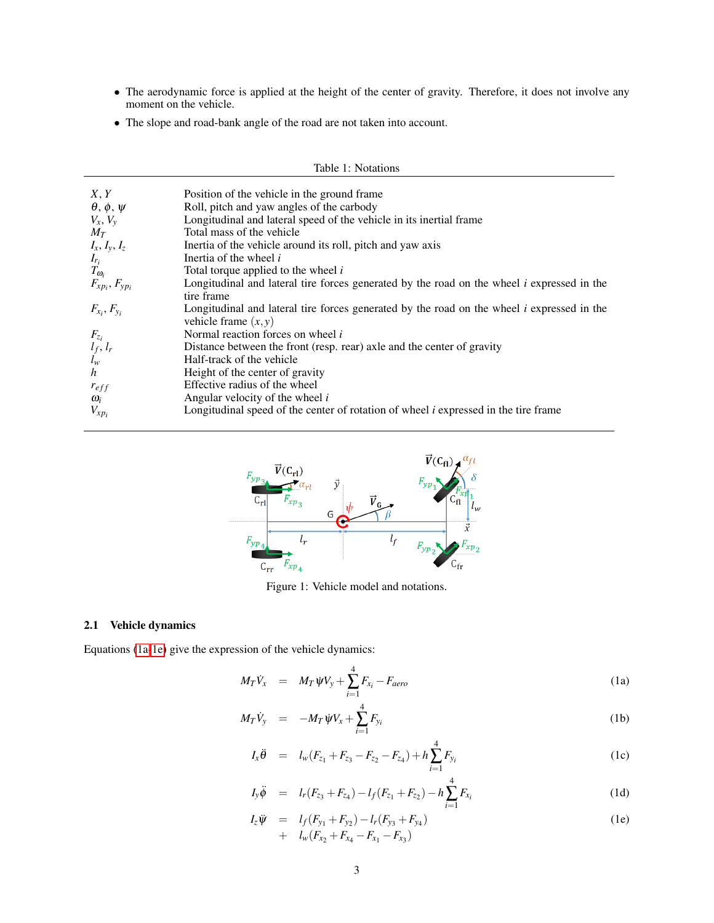- The aerodynamic force is applied at the height of the center of gravity. Therefore, it does not involve any moment on the vehicle.
- The slope and road-bank angle of the road are not taken into account.

<span id="page-2-0"></span>

| Table 1: Notations        |                                                                                                                        |  |  |  |  |
|---------------------------|------------------------------------------------------------------------------------------------------------------------|--|--|--|--|
| X, Y                      | Position of the vehicle in the ground frame                                                                            |  |  |  |  |
| $\theta, \phi, \psi$      | Roll, pitch and yaw angles of the carbody                                                                              |  |  |  |  |
| $V_x, V_y$                | Longitudinal and lateral speed of the vehicle in its inertial frame                                                    |  |  |  |  |
| $M_T$                     | Total mass of the vehicle                                                                                              |  |  |  |  |
| $I_x, I_y, I_z$           | Inertia of the vehicle around its roll, pitch and yaw axis                                                             |  |  |  |  |
| $I_{r_i}$                 | Inertia of the wheel <i>i</i>                                                                                          |  |  |  |  |
| $T_{\omega_i}$            | Total torque applied to the wheel <i>i</i>                                                                             |  |  |  |  |
| $F_{xp_i}, F_{yp_i}$      | Longitudinal and lateral tire forces generated by the road on the wheel $i$ expressed in the                           |  |  |  |  |
|                           | tire frame                                                                                                             |  |  |  |  |
| $F_{x_i}, F_{y_i}$        | Longitudinal and lateral tire forces generated by the road on the wheel $i$ expressed in the<br>vehicle frame $(x, y)$ |  |  |  |  |
| $F_{z_i}$                 | Normal reaction forces on wheel i                                                                                      |  |  |  |  |
|                           | Distance between the front (resp. rear) axle and the center of gravity                                                 |  |  |  |  |
| $\frac{l_f}{l_w}$ , $l_r$ | Half-track of the vehicle                                                                                              |  |  |  |  |
| h                         | Height of the center of gravity                                                                                        |  |  |  |  |
| $r_{eff}$                 | Effective radius of the wheel                                                                                          |  |  |  |  |
| $\omega_i$                | Angular velocity of the wheel i                                                                                        |  |  |  |  |
| $V_{xp_i}$                | Longitudinal speed of the center of rotation of wheel $i$ expressed in the tire frame                                  |  |  |  |  |

<span id="page-2-1"></span>

Figure 1: Vehicle model and notations.

# 2.1 Vehicle dynamics

Equations [\(1a-1e\)](#page-2-2) give the expression of the vehicle dynamics:

<span id="page-2-2"></span>
$$
M_T \dot{V}_x = M_T \dot{\psi} V_y + \sum_{i=1}^4 F_{x_i} - F_{aero}
$$
 (1a)

$$
M_T \dot{V}_y = -M_T \dot{\psi} V_x + \sum_{i=1}^4 F_{y_i}
$$
 (1b)

$$
I_x \ddot{\theta} = I_w (F_{z_1} + F_{z_3} - F_{z_2} - F_{z_4}) + h \sum_{i=1}^4 F_{y_i}
$$
 (1c)

$$
I_{y}\ddot{\phi} = l_{r}(F_{z_{3}} + F_{z_{4}}) - l_{f}(F_{z_{1}} + F_{z_{2}}) - h\sum_{i=1}^{4} F_{x_{i}}
$$
\n(1d)

$$
I_z \ddot{\psi} = I_f (F_{y_1} + F_{y_2}) - I_r (F_{y_3} + F_{y_4}) + I_w (F_{x_2} + F_{x_4} - F_{x_1} - F_{x_3})
$$
(1e)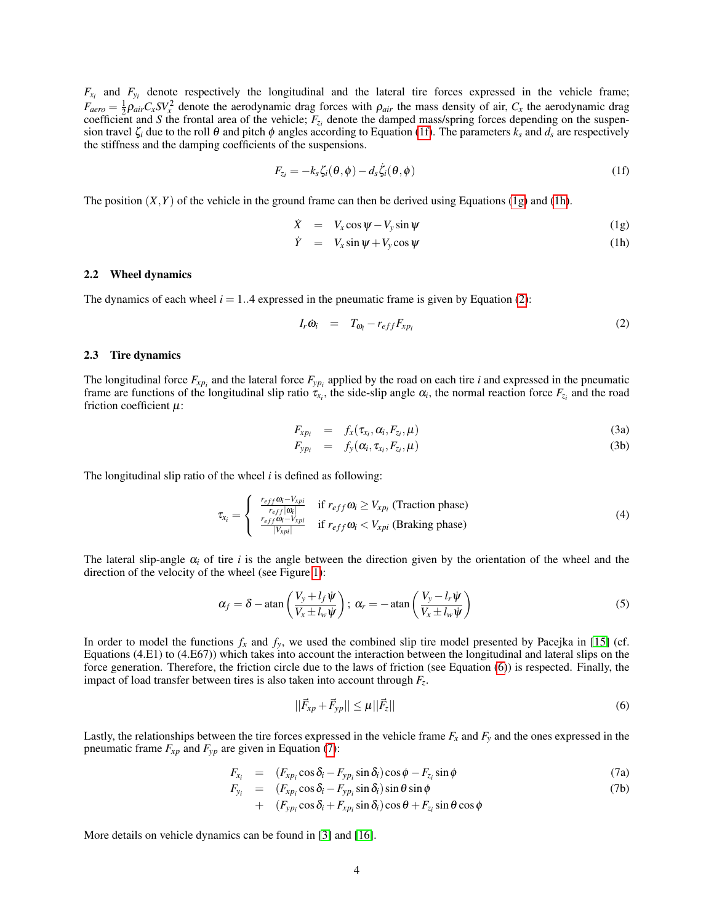$F_{x_i}$  and  $F_{y_i}$  denote respectively the longitudinal and the lateral tire forces expressed in the vehicle frame;  $F_{aero} = \frac{1}{2}\rho_{air}C_xSV_x^2$  denote the aerodynamic drag forces with  $\rho_{air}$  the mass density of air,  $C_x$  the aerodynamic drag coefficient and *S* the frontal area of the vehicle;  $F_{z_i}$  denote the damped mass/spring forces depending on the suspension travel  $\zeta_i$  due to the roll  $\theta$  and pitch  $\phi$  angles according to Equation [\(1f\)](#page-3-0). The parameters  $k_s$  and  $d_s$  are respectively the stiffness and the damping coefficients of the suspensions.

<span id="page-3-0"></span>
$$
F_{z_i} = -k_s \zeta_i(\theta, \phi) - d_s \dot{\zeta}_i(\theta, \phi)
$$
 (1f)

The position  $(X, Y)$  of the vehicle in the ground frame can then be derived using Equations [\(1g\)](#page-3-1) and [\(1h\)](#page-3-1).

<span id="page-3-1"></span>
$$
\dot{X} = V_x \cos \psi - V_y \sin \psi \tag{1g}
$$

$$
\dot{Y} = V_x \sin \psi + V_y \cos \psi \tag{1h}
$$

#### 2.2 Wheel dynamics

The dynamics of each wheel  $i = 1..4$  expressed in the pneumatic frame is given by Equation [\(2\)](#page-3-2):

<span id="page-3-2"></span>
$$
I_r \dot{\omega}_i = T_{\omega_i} - r_{eff} F_{x p_i} \tag{2}
$$

#### 2.3 Tire dynamics

The longitudinal force  $F_{xp_i}$  and the lateral force  $F_{yp_i}$  applied by the road on each tire *i* and expressed in the pneumatic frame are functions of the longitudinal slip ratio  $\tau_{x_i}$ , the side-slip angle  $\alpha_i$ , the normal reaction force  $F_{z_i}$  and the road friction coefficient  $\mu$ :

$$
F_{xp_i} = f_x(\tau_{x_i}, \alpha_i, F_{z_i}, \mu) \tag{3a}
$$

$$
F_{y p_i} = f_y(\alpha_i, \tau_{x_i}, F_{z_i}, \mu) \tag{3b}
$$

The longitudinal slip ratio of the wheel *i* is defined as following:

$$
\tau_{x_i} = \begin{cases}\n\frac{r_{eff} \omega_i - V_{xpi}}{r_{eff} |\omega_i|} & \text{if } r_{eff} \omega_i \ge V_{xpi} \text{ (Traction phase)} \\
\frac{r_{eff} \omega_i - V_{xpi}}{|V_{xpi}|} & \text{if } r_{eff} \omega_i < V_{xpi} \text{ (Braking phase)}\n\end{cases}
$$
\n(4)

The lateral slip-angle  $\alpha_i$  of tire *i* is the angle between the direction given by the orientation of the wheel and the direction of the velocity of the wheel (see Figure [1\)](#page-2-1):

$$
\alpha_f = \delta - \operatorname{atan}\left(\frac{V_y + l_f \dot{\psi}}{V_x \pm l_w \dot{\psi}}\right); \ \alpha_r = -\operatorname{atan}\left(\frac{V_y - l_r \dot{\psi}}{V_x \pm l_w \dot{\psi}}\right) \tag{5}
$$

In order to model the functions  $f_x$  and  $f_y$ , we used the combined slip tire model presented by Pacejka in [\[15\]](#page-11-14) (cf. Equations (4.E1) to (4.E67)) which takes into account the interaction between the longitudinal and lateral slips on the force generation. Therefore, the friction circle due to the laws of friction (see Equation [\(6\)](#page-3-3)) is respected. Finally, the impact of load transfer between tires is also taken into account through *F<sup>z</sup>* .

<span id="page-3-4"></span><span id="page-3-3"></span>
$$
||\vec{F}_{xp} + \vec{F}_{yp}|| \le \mu ||\vec{F}_z|| \tag{6}
$$

Lastly, the relationships between the tire forces expressed in the vehicle frame  $F_x$  and  $F_y$  and the ones expressed in the pneumatic frame  $F_{xp}$  and  $F_{yp}$  are given in Equation [\(7\)](#page-3-4):

$$
F_{x_i} = (F_{x p_i} \cos \delta_i - F_{y p_i} \sin \delta_i) \cos \phi - F_{z_i} \sin \phi \tag{7a}
$$

$$
F_{y_i} = (F_{xp_i}\cos\delta_i - F_{yp_i}\sin\delta_i)\sin\theta\sin\phi + (F_{yp_i}\cos\delta_i + F_{xp_i}\sin\delta_i)\cos\theta + F_{z_i}\sin\theta\cos\phi
$$
 (7b)

More details on vehicle dynamics can be found in [\[3\]](#page-11-2) and [\[16\]](#page-11-15).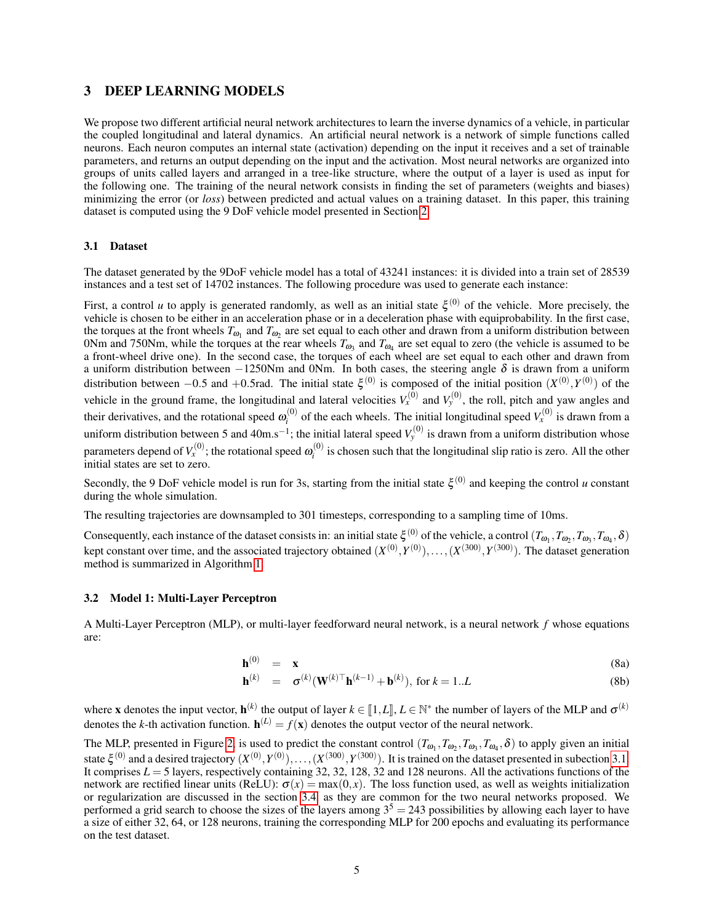# <span id="page-4-0"></span>3 DEEP LEARNING MODELS

We propose two different artificial neural network architectures to learn the inverse dynamics of a vehicle, in particular the coupled longitudinal and lateral dynamics. An artificial neural network is a network of simple functions called neurons. Each neuron computes an internal state (activation) depending on the input it receives and a set of trainable parameters, and returns an output depending on the input and the activation. Most neural networks are organized into groups of units called layers and arranged in a tree-like structure, where the output of a layer is used as input for the following one. The training of the neural network consists in finding the set of parameters (weights and biases) minimizing the error (or *loss*) between predicted and actual values on a training dataset. In this paper, this training dataset is computed using the 9 DoF vehicle model presented in Section [2.](#page-1-0)

#### <span id="page-4-1"></span>3.1 Dataset

The dataset generated by the 9DoF vehicle model has a total of 43241 instances: it is divided into a train set of 28539 instances and a test set of 14702 instances. The following procedure was used to generate each instance:

First, a control *u* to apply is generated randomly, as well as an initial state  $\xi^{(0)}$  of the vehicle. More precisely, the vehicle is chosen to be either in an acceleration phase or in a deceleration phase with equiprobability. In the first case, the torques at the front wheels  $T_{\omega_1}$  and  $T_{\omega_2}$  are set equal to each other and drawn from a uniform distribution between 0Nm and 750Nm, while the torques at the rear wheels  $T_{\omega_3}$  and  $T_{\omega_4}$  are set equal to zero (the vehicle is assumed to be a front-wheel drive one). In the second case, the torques of each wheel are set equal to each other and drawn from a uniform distribution between −1250Nm and 0Nm. In both cases, the steering angle  $\delta$  is drawn from a uniform distribution between  $-0.5$  and  $+0.5$  rad. The initial state  $\xi^{(0)}$  is composed of the initial position  $(X^{(0)}, Y^{(0)})$  of the vehicle in the ground frame, the longitudinal and lateral velocities  $V_x^{(0)}$  and  $V_y^{(0)}$ , the roll, pitch and yaw angles and their derivatives, and the rotational speed  $\omega_i^{(0)}$  $y_i^{(0)}$  of the each wheels. The initial longitudinal speed  $V_x^{(0)}$  is drawn from a uniform distribution between 5 and 40m.s<sup>-1</sup>; the initial lateral speed  $V_y^{(0)}$  is drawn from a uniform distribution whose parameters depend of  $V_x^{(0)}$ ; the rotational speed  $\omega_i^{(0)}$  $i_i^{(0)}$  is chosen such that the longitudinal slip ratio is zero. All the other initial states are set to zero.

Secondly, the 9 DoF vehicle model is run for 3s, starting from the initial state  $\xi^{(0)}$  and keeping the control *u* constant during the whole simulation.

The resulting trajectories are downsampled to 301 timesteps, corresponding to a sampling time of 10ms.

Consequently, each instance of the dataset consists in: an initial state  $\xi^{(0)}$  of the vehicle, a control  $(T_{\omega_1}, T_{\omega_2}, T_{\omega_3}, T_{\omega_4}, \delta)$ kept constant over time, and the associated trajectory obtained  $(X^{(0)}, Y^{(0)}), \ldots, (X^{(300)}, Y^{(300)})$ . The dataset generation method is summarized in Algorithm [1.](#page-5-0)

#### 3.2 Model 1: Multi-Layer Perceptron

A Multi-Layer Perceptron (MLP), or multi-layer feedforward neural network, is a neural network *f* whose equations are:

$$
\mathbf{h}^{(0)} = \mathbf{x} \tag{8a}
$$

$$
\mathbf{h}^{(k)} = \sigma^{(k)}(\mathbf{W}^{(k)} \top \mathbf{h}^{(k-1)} + \mathbf{b}^{(k)}), \text{ for } k = 1..L
$$
 (8b)

where **x** denotes the input vector,  $h^{(k)}$  the output of layer  $k \in [1, L]$ ,  $L \in \mathbb{N}^*$  the number of layers of the MLP and  $\sigma^{(k)}$ denotes the *k*-th activation function.  $h^{(L)} = f(\mathbf{x})$  denotes the output vector of the neural network.

The MLP, presented in Figure [2,](#page-5-1) is used to predict the constant control  $(T_{\omega_1}, T_{\omega_2}, T_{\omega_3}, T_{\omega_4}, \delta)$  to apply given an initial state  $\xi^{(0)}$  and a desired trajectory  $(X^{(0)}, Y^{(0)}), \ldots, (X^{(300)}, Y^{(300)})$ . It is trained on the dataset presented in subection [3.1.](#page-4-1) It comprises  $L = 5$  layers, respectively containing 32, 32, 128, 32 and 128 neurons. All the activations functions of the network are rectified linear units (ReLU):  $\sigma(x) = \max(0, x)$ . The loss function used, as well as weights initialization or regularization are discussed in the section [3.4,](#page-6-0) as they are common for the two neural networks proposed. We performed a grid search to choose the sizes of the layers among  $3<sup>5</sup> = 243$  possibilities by allowing each layer to have a size of either 32, 64, or 128 neurons, training the corresponding MLP for 200 epochs and evaluating its performance on the test dataset.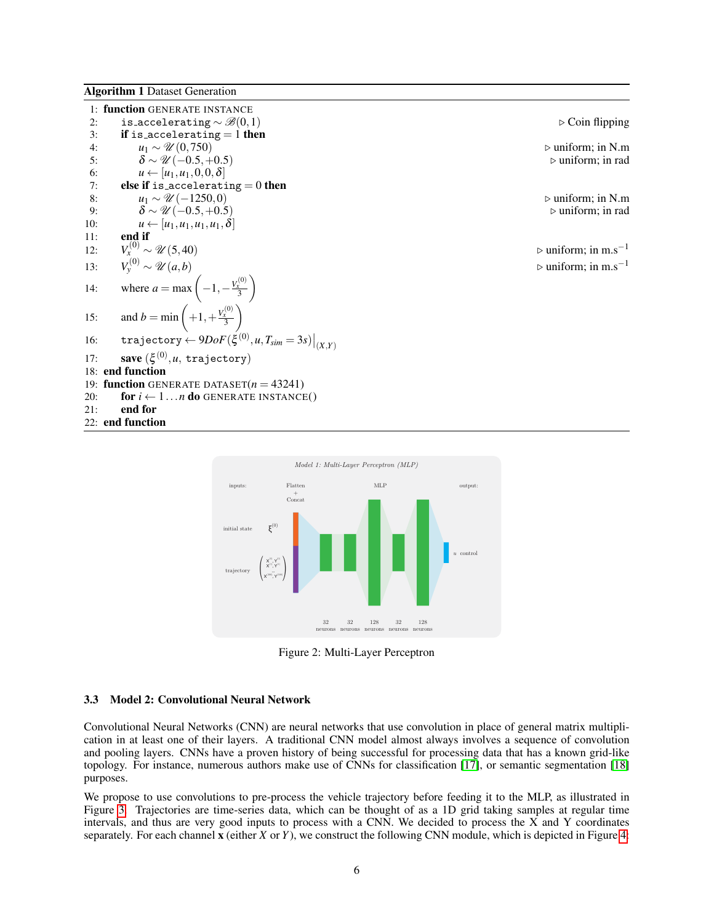<span id="page-5-0"></span>Algorithm 1 Dataset Generation

|     | 1: function GENERATE INSTANCE                                                                            |                                                |
|-----|----------------------------------------------------------------------------------------------------------|------------------------------------------------|
| 2:  | is_accelerating $\sim \mathcal{B}(0,1)$                                                                  | $\triangleright$ Coin flipping                 |
| 3:  | if is accelerating $= 1$ then                                                                            |                                                |
| 4:  | $u_1 \sim \mathcal{U}(0, 750)$                                                                           | $\triangleright$ uniform; in N.m               |
| 5:  | $\delta \sim \mathcal{U}(-0.5, +0.5)$                                                                    | $\triangleright$ uniform; in rad               |
| 6:  | $u \leftarrow [u_1, u_1, 0, 0, \delta]$                                                                  |                                                |
| 7:  | else if is accelerating $= 0$ then                                                                       |                                                |
| 8:  | $u_1 \sim \mathcal{U}(-1250,0)$                                                                          | $\triangleright$ uniform; in N.m.              |
| 9:  | $\delta \sim \mathcal{U}(-0.5, +0.5)$                                                                    | $\triangleright$ uniform; in rad               |
| 10: | $u \leftarrow [u_1, u_1, u_1, u_1, \delta]$                                                              |                                                |
| 11: | end if                                                                                                   |                                                |
| 12: | $V_x^{(0)} \sim \mathcal{U}(5, 40)$                                                                      | $\triangleright$ uniform; in m.s <sup>-1</sup> |
|     |                                                                                                          | $\triangleright$ uniform; in m.s <sup>-1</sup> |
|     | 13: $V_y^{(0)} \sim \mathcal{U}(a, b)$<br>14: where $a = \max\left(-1, -\frac{V_x^{(0)}}{3}\right)$      |                                                |
|     | 15: and $b = \min \left( +1, +\frac{V_x^{(0)}}{3} \right)$                                               |                                                |
| 16: | $\texttt{trajectory} \leftarrow 9DoF(\boldsymbol{\xi}^{(0)}, \boldsymbol{u}, T_{sim} = 3s)\big _{(X,Y)}$ |                                                |
| 17: | save $(\xi^{(0)}, u$ , trajectory)                                                                       |                                                |
|     | 18: end function                                                                                         |                                                |
|     | 19: function GENERATE DATASET $(n = 43241)$                                                              |                                                |
| 20: | for $i \leftarrow 1n$ do GENERATE INSTANCE()                                                             |                                                |
| 21: | end for                                                                                                  |                                                |
|     | 22: end function                                                                                         |                                                |
|     |                                                                                                          |                                                |

<span id="page-5-1"></span>

Figure 2: Multi-Layer Perceptron

## 3.3 Model 2: Convolutional Neural Network

Convolutional Neural Networks (CNN) are neural networks that use convolution in place of general matrix multiplication in at least one of their layers. A traditional CNN model almost always involves a sequence of convolution and pooling layers. CNNs have a proven history of being successful for processing data that has a known grid-like topology. For instance, numerous authors make use of CNNs for classification [\[17\]](#page-11-16), or semantic segmentation [\[18\]](#page-12-0) purposes.

We propose to use convolutions to pre-process the vehicle trajectory before feeding it to the MLP, as illustrated in Figure [3.](#page-6-1) Trajectories are time-series data, which can be thought of as a 1D grid taking samples at regular time intervals, and thus are very good inputs to process with a CNN. We decided to process the  $\overline{X}$  and  $\overline{Y}$  coordinates separately. For each channel x (either *X* or *Y*), we construct the following CNN module, which is depicted in Figure [4:](#page-6-2)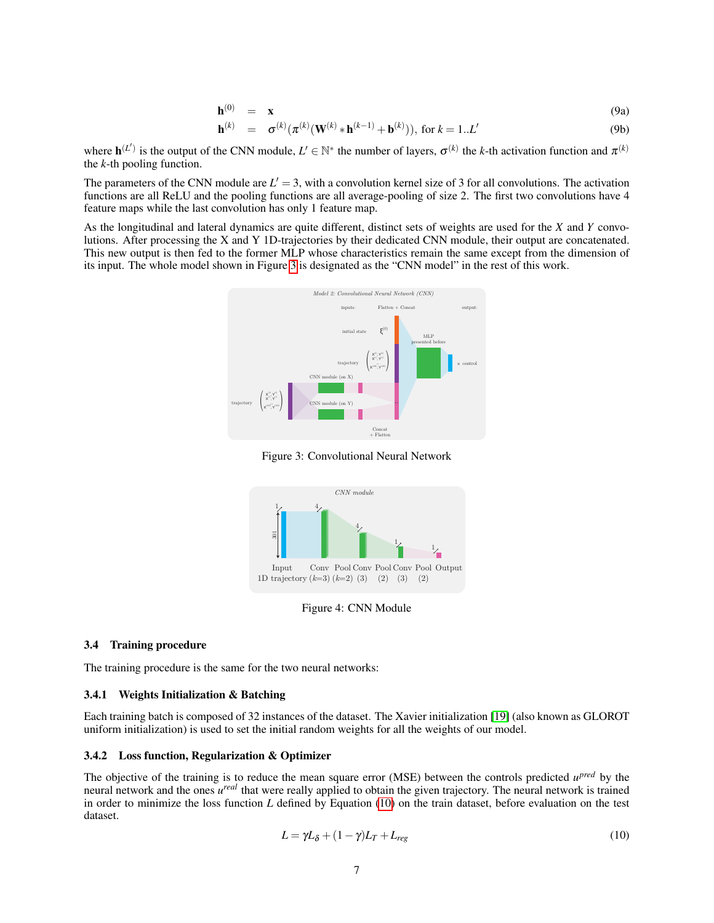$$
\mathbf{h}^{(0)} = \mathbf{x} \tag{9a}
$$

$$
\mathbf{h}^{(k)} = \sigma^{(k)}(\pi^{(k)}(\mathbf{W}^{(k)} * \mathbf{h}^{(k-1)} + \mathbf{b}^{(k)})), \text{ for } k = 1..L'
$$
 (9b)

where  $\mathbf{h}^{(L')}$  is the output of the CNN module,  $L' \in \mathbb{N}^*$  the number of layers,  $\sigma^{(k)}$  the *k*-th activation function and  $\pi^{(k)}$ the *k*-th pooling function.

The parameters of the CNN module are  $L' = 3$ , with a convolution kernel size of 3 for all convolutions. The activation functions are all ReLU and the pooling functions are all average-pooling of size 2. The first two convolutions have 4 feature maps while the last convolution has only 1 feature map.

<span id="page-6-1"></span>As the longitudinal and lateral dynamics are quite different, distinct sets of weights are used for the *X* and *Y* convolutions. After processing the X and Y 1D-trajectories by their dedicated CNN module, their output are concatenated. This new output is then fed to the former MLP whose characteristics remain the same except from the dimension of its input. The whole model shown in Figure [3](#page-6-1) is designated as the "CNN model" in the rest of this work.



Figure 3: Convolutional Neural Network

<span id="page-6-2"></span>

Figure 4: CNN Module

#### <span id="page-6-0"></span>3.4 Training procedure

The training procedure is the same for the two neural networks:

#### 3.4.1 Weights Initialization & Batching

Each training batch is composed of 32 instances of the dataset. The Xavier initialization [\[19\]](#page-12-1) (also known as GLOROT uniform initialization) is used to set the initial random weights for all the weights of our model.

## 3.4.2 Loss function, Regularization & Optimizer

The objective of the training is to reduce the mean square error (MSE) between the controls predicted  $u^{pred}$  by the neural network and the ones *u real* that were really applied to obtain the given trajectory. The neural network is trained in order to minimize the loss function *L* defined by Equation [\(10\)](#page-6-3) on the train dataset, before evaluation on the test dataset.

<span id="page-6-3"></span>
$$
L = \gamma L_{\delta} + (1 - \gamma)L_T + L_{reg} \tag{10}
$$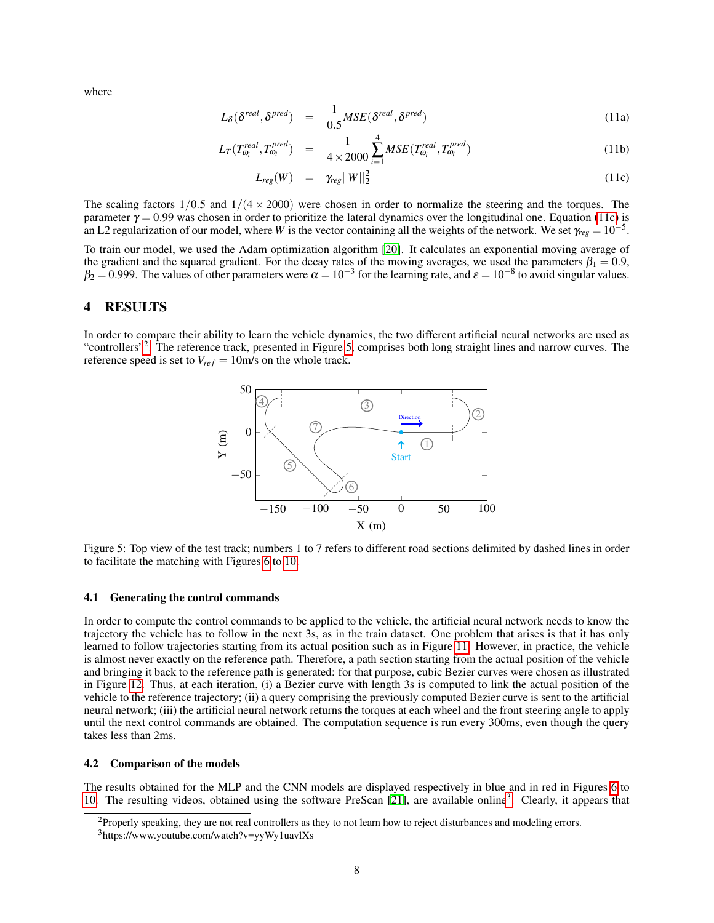where

<span id="page-7-1"></span>
$$
L_{\delta}(\delta^{real}, \delta^{pred}) = \frac{1}{0.5} MSE(\delta^{real}, \delta^{pred})
$$
\n(11a)

$$
L_T(T_{\omega_i}^{real}, T_{\omega_i}^{pred}) = \frac{1}{4 \times 2000} \sum_{i=1}^{4} MSE(T_{\omega_i}^{real}, T_{\omega_i}^{pred})
$$
(11b)

$$
L_{reg}(W) = \gamma_{reg}||W||_2^2 \qquad (11c)
$$

The scaling factors  $1/0.5$  and  $1/(4 \times 2000)$  were chosen in order to normalize the steering and the torques. The parameter  $\gamma = 0.99$  was chosen in order to prioritize the lateral dynamics over the longitudinal one. Equation [\(11c\)](#page-7-1) is an L2 regularization of our model, where *W* is the vector containing all the weights of the network. We set  $\gamma_{reg} = 10^{-5}$ .

To train our model, we used the Adam optimization algorithm [\[20\]](#page-12-2). It calculates an exponential moving average of the gradient and the squared gradient. For the decay rates of the moving averages, we used the parameters  $\beta_1 = 0.9$ ,  $\beta_2$  = 0.999. The values of other parameters were  $\alpha = 10^{-3}$  for the learning rate, and  $\varepsilon = 10^{-8}$  to avoid singular values.

# <span id="page-7-0"></span>4 RESULTS

<span id="page-7-3"></span>In order to compare their ability to learn the vehicle dynamics, the two different artificial neural networks are used as "controllers"<sup>[2](#page-7-2)</sup>. The reference track, presented in Figure [5,](#page-7-3) comprises both long straight lines and narrow curves. The reference speed is set to  $V_{ref} = 10$ m/s on the whole track.



Figure 5: Top view of the test track; numbers 1 to 7 refers to different road sections delimited by dashed lines in order to facilitate the matching with Figures [6](#page-9-0) to [10.](#page-9-1)

#### 4.1 Generating the control commands

In order to compute the control commands to be applied to the vehicle, the artificial neural network needs to know the trajectory the vehicle has to follow in the next 3s, as in the train dataset. One problem that arises is that it has only learned to follow trajectories starting from its actual position such as in Figure [11.](#page-10-1) However, in practice, the vehicle is almost never exactly on the reference path. Therefore, a path section starting from the actual position of the vehicle and bringing it back to the reference path is generated: for that purpose, cubic Bezier curves were chosen as illustrated in Figure [12.](#page-10-2) Thus, at each iteration, (i) a Bezier curve with length 3s is computed to link the actual position of the vehicle to the reference trajectory; (ii) a query comprising the previously computed Bezier curve is sent to the artificial neural network; (iii) the artificial neural network returns the torques at each wheel and the front steering angle to apply until the next control commands are obtained. The computation sequence is run every 300ms, even though the query takes less than 2ms.

#### 4.2 Comparison of the models

The results obtained for the MLP and the CNN models are displayed respectively in blue and in red in Figures [6](#page-9-0) to [10.](#page-9-1) The resulting videos, obtained using the software PreScan [\[21\]](#page-12-3), are available online<sup>[3](#page-7-4)</sup>. Clearly, it appears that

<span id="page-7-2"></span> $<sup>2</sup>$  Properly speaking, they are not real controllers as they to not learn how to reject disturbances and modeling errors.</sup>

<span id="page-7-4"></span><sup>3</sup>https://www.youtube.com/watch?v=yyWy1uavlXs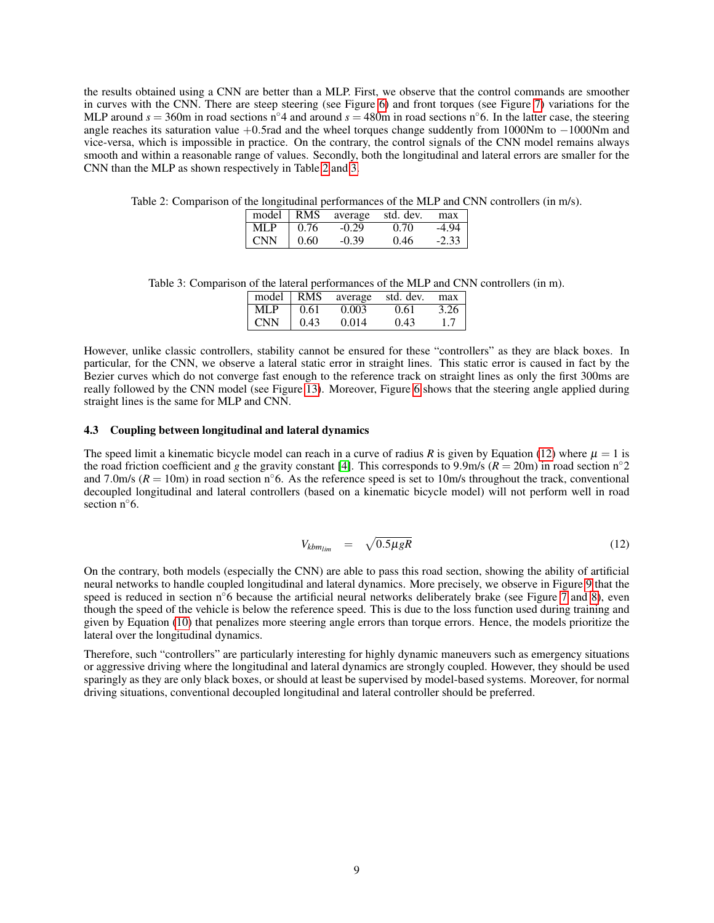the results obtained using a CNN are better than a MLP. First, we observe that the control commands are smoother in curves with the CNN. There are steep steering (see Figure [6\)](#page-9-0) and front torques (see Figure [7\)](#page-9-2) variations for the MLP around  $s = 360$ m in road sections n<sup>°</sup>4 and around  $s = 480$ m in road sections n<sup>°</sup>6. In the latter case, the steering angle reaches its saturation value +0.5rad and the wheel torques change suddently from 1000Nm to −1000Nm and vice-versa, which is impossible in practice. On the contrary, the control signals of the CNN model remains always smooth and within a reasonable range of values. Secondly, both the longitudinal and lateral errors are smaller for the CNN than the MLP as shown respectively in Table [2](#page-8-0) and [3.](#page-8-1)

<span id="page-8-0"></span>Table 2: Comparison of the longitudinal performances of the MLP and CNN controllers (in m/s).

|            |      | model RMS average | std. dev. | max     |
|------------|------|-------------------|-----------|---------|
| MLP        | 0.76 | $-0.29$           | 0.70      | -4.94   |
| <b>CNN</b> | 0.60 | $-0.39$           | 0.46      | $-2.33$ |

<span id="page-8-1"></span>Table 3: Comparison of the lateral performances of the MLP and CNN controllers (in m).

| model $\mid$ RMS |      | average | std. dev. | max  |
|------------------|------|---------|-----------|------|
| MLP              | 0.61 | 0.003   | 0.61      | 3.26 |
| <b>CNN</b>       | 0.43 | 0.014   | 0.43      | 1.7  |

However, unlike classic controllers, stability cannot be ensured for these "controllers" as they are black boxes. In particular, for the CNN, we observe a lateral static error in straight lines. This static error is caused in fact by the Bezier curves which do not converge fast enough to the reference track on straight lines as only the first 300ms are really followed by the CNN model (see Figure [13\)](#page-10-3). Moreover, Figure [6](#page-9-0) shows that the steering angle applied during straight lines is the same for MLP and CNN.

# 4.3 Coupling between longitudinal and lateral dynamics

The speed limit a kinematic bicycle model can reach in a curve of radius *R* is given by Equation [\(12\)](#page-8-2) where  $\mu = 1$  is the road friction coefficient and *g* the gravity constant [\[4\]](#page-11-3). This corresponds to 9.9m/s ( $R = 20$ m) in road section n<sup>°2</sup> and 7.0m/s ( $R = 10$ m) in road section n $\degree$ 6. As the reference speed is set to 10m/s throughout the track, conventional decoupled longitudinal and lateral controllers (based on a kinematic bicycle model) will not perform well in road section  $n<sup>°</sup>6$ .

<span id="page-8-2"></span>
$$
V_{kbm_{lim}} = \sqrt{0.5\mu gR} \tag{12}
$$

On the contrary, both models (especially the CNN) are able to pass this road section, showing the ability of artificial neural networks to handle coupled longitudinal and lateral dynamics. More precisely, we observe in Figure [9](#page-9-3) that the speed is reduced in section n $\degree$ 6 because the artificial neural networks deliberately brake (see Figure  $\frac{7}{9}$  and [8\)](#page-9-4), even though the speed of the vehicle is below the reference speed. This is due to the loss function used during training and given by Equation [\(10\)](#page-6-3) that penalizes more steering angle errors than torque errors. Hence, the models prioritize the lateral over the longitudinal dynamics.

Therefore, such "controllers" are particularly interesting for highly dynamic maneuvers such as emergency situations or aggressive driving where the longitudinal and lateral dynamics are strongly coupled. However, they should be used sparingly as they are only black boxes, or should at least be supervised by model-based systems. Moreover, for normal driving situations, conventional decoupled longitudinal and lateral controller should be preferred.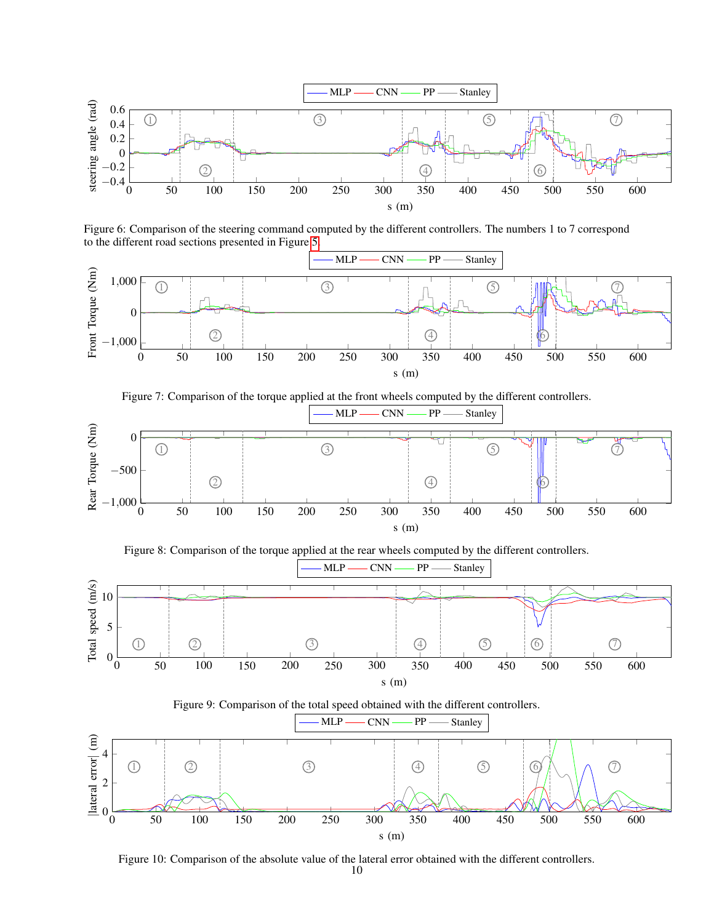

<span id="page-9-0"></span>Figure 6: Comparison of the steering command computed by the different controllers. The numbers 1 to 7 correspond to the different road sections presented in Figure [5.](#page-7-3)



<span id="page-9-2"></span>

<span id="page-9-4"></span>

<span id="page-9-3"></span>

<span id="page-9-1"></span>Figure 10: Comparison of the absolute value of the lateral error obtained with the different controllers.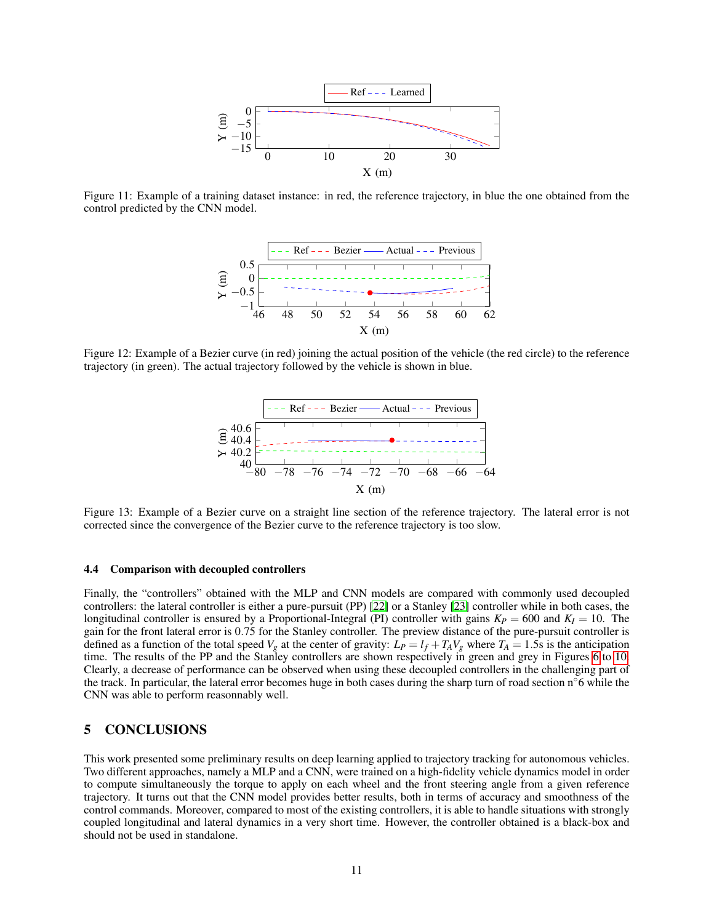

<span id="page-10-2"></span><span id="page-10-1"></span>Figure 11: Example of a training dataset instance: in red, the reference trajectory, in blue the one obtained from the control predicted by the CNN model.



<span id="page-10-3"></span>Figure 12: Example of a Bezier curve (in red) joining the actual position of the vehicle (the red circle) to the reference trajectory (in green). The actual trajectory followed by the vehicle is shown in blue.



Figure 13: Example of a Bezier curve on a straight line section of the reference trajectory. The lateral error is not corrected since the convergence of the Bezier curve to the reference trajectory is too slow.

#### 4.4 Comparison with decoupled controllers

Finally, the "controllers" obtained with the MLP and CNN models are compared with commonly used decoupled controllers: the lateral controller is either a pure-pursuit (PP) [\[22\]](#page-12-4) or a Stanley [\[23\]](#page-12-5) controller while in both cases, the longitudinal controller is ensured by a Proportional-Integral (PI) controller with gains  $K_P = 600$  and  $K_I = 10$ . The gain for the front lateral error is 0.75 for the Stanley controller. The preview distance of the pure-pursuit controller is defined as a function of the total speed  $V_g$  at the center of gravity:  $L_P = l_f + T_A V_g$  where  $T_A = 1.5$ s is the anticipation time. The results of the PP and the Stanley controllers are shown respectively in green and grey in Figures [6](#page-9-0) to [10.](#page-9-1) Clearly, a decrease of performance can be observed when using these decoupled controllers in the challenging part of the track. In particular, the lateral error becomes huge in both cases during the sharp turn of road section  $n<sup>°</sup>6$  while the CNN was able to perform reasonnably well.

# <span id="page-10-0"></span>5 CONCLUSIONS

This work presented some preliminary results on deep learning applied to trajectory tracking for autonomous vehicles. Two different approaches, namely a MLP and a CNN, were trained on a high-fidelity vehicle dynamics model in order to compute simultaneously the torque to apply on each wheel and the front steering angle from a given reference trajectory. It turns out that the CNN model provides better results, both in terms of accuracy and smoothness of the control commands. Moreover, compared to most of the existing controllers, it is able to handle situations with strongly coupled longitudinal and lateral dynamics in a very short time. However, the controller obtained is a black-box and should not be used in standalone.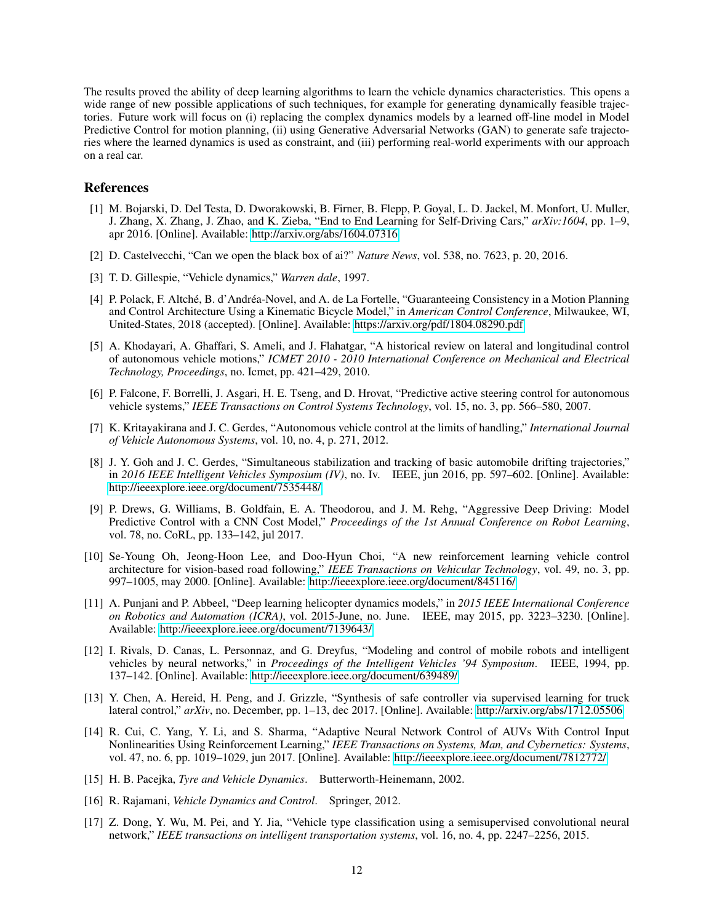The results proved the ability of deep learning algorithms to learn the vehicle dynamics characteristics. This opens a wide range of new possible applications of such techniques, for example for generating dynamically feasible trajectories. Future work will focus on (i) replacing the complex dynamics models by a learned off-line model in Model Predictive Control for motion planning, (ii) using Generative Adversarial Networks (GAN) to generate safe trajectories where the learned dynamics is used as constraint, and (iii) performing real-world experiments with our approach on a real car.

# References

- <span id="page-11-0"></span>[1] M. Bojarski, D. Del Testa, D. Dworakowski, B. Firner, B. Flepp, P. Goyal, L. D. Jackel, M. Monfort, U. Muller, J. Zhang, X. Zhang, J. Zhao, and K. Zieba, "End to End Learning for Self-Driving Cars," *arXiv:1604*, pp. 1–9, apr 2016. [Online]. Available:<http://arxiv.org/abs/1604.07316>
- <span id="page-11-1"></span>[2] D. Castelvecchi, "Can we open the black box of ai?" *Nature News*, vol. 538, no. 7623, p. 20, 2016.
- <span id="page-11-2"></span>[3] T. D. Gillespie, "Vehicle dynamics," *Warren dale*, 1997.
- <span id="page-11-3"></span>[4] P. Polack, F. Altché, B. d'Andréa-Novel, and A. de La Fortelle, "Guaranteeing Consistency in a Motion Planning and Control Architecture Using a Kinematic Bicycle Model," in *American Control Conference*, Milwaukee, WI, United-States, 2018 (accepted). [Online]. Available:<https://arxiv.org/pdf/1804.08290.pdf>
- <span id="page-11-4"></span>[5] A. Khodayari, A. Ghaffari, S. Ameli, and J. Flahatgar, "A historical review on lateral and longitudinal control of autonomous vehicle motions," *ICMET 2010 - 2010 International Conference on Mechanical and Electrical Technology, Proceedings*, no. Icmet, pp. 421–429, 2010.
- <span id="page-11-5"></span>[6] P. Falcone, F. Borrelli, J. Asgari, H. E. Tseng, and D. Hrovat, "Predictive active steering control for autonomous vehicle systems," *IEEE Transactions on Control Systems Technology*, vol. 15, no. 3, pp. 566–580, 2007.
- <span id="page-11-6"></span>[7] K. Kritayakirana and J. C. Gerdes, "Autonomous vehicle control at the limits of handling," *International Journal of Vehicle Autonomous Systems*, vol. 10, no. 4, p. 271, 2012.
- <span id="page-11-7"></span>[8] J. Y. Goh and J. C. Gerdes, "Simultaneous stabilization and tracking of basic automobile drifting trajectories," in *2016 IEEE Intelligent Vehicles Symposium (IV)*, no. Iv. IEEE, jun 2016, pp. 597–602. [Online]. Available: <http://ieeexplore.ieee.org/document/7535448/>
- <span id="page-11-8"></span>[9] P. Drews, G. Williams, B. Goldfain, E. A. Theodorou, and J. M. Rehg, "Aggressive Deep Driving: Model Predictive Control with a CNN Cost Model," *Proceedings of the 1st Annual Conference on Robot Learning*, vol. 78, no. CoRL, pp. 133–142, jul 2017.
- <span id="page-11-9"></span>[10] Se-Young Oh, Jeong-Hoon Lee, and Doo-Hyun Choi, "A new reinforcement learning vehicle control architecture for vision-based road following," *IEEE Transactions on Vehicular Technology*, vol. 49, no. 3, pp. 997–1005, may 2000. [Online]. Available:<http://ieeexplore.ieee.org/document/845116/>
- <span id="page-11-10"></span>[11] A. Punjani and P. Abbeel, "Deep learning helicopter dynamics models," in *2015 IEEE International Conference on Robotics and Automation (ICRA)*, vol. 2015-June, no. June. IEEE, may 2015, pp. 3223–3230. [Online]. Available:<http://ieeexplore.ieee.org/document/7139643/>
- <span id="page-11-11"></span>[12] I. Rivals, D. Canas, L. Personnaz, and G. Dreyfus, "Modeling and control of mobile robots and intelligent vehicles by neural networks," in *Proceedings of the Intelligent Vehicles '94 Symposium*. IEEE, 1994, pp. 137–142. [Online]. Available:<http://ieeexplore.ieee.org/document/639489/>
- <span id="page-11-12"></span>[13] Y. Chen, A. Hereid, H. Peng, and J. Grizzle, "Synthesis of safe controller via supervised learning for truck lateral control," *arXiv*, no. December, pp. 1–13, dec 2017. [Online]. Available:<http://arxiv.org/abs/1712.05506>
- <span id="page-11-13"></span>[14] R. Cui, C. Yang, Y. Li, and S. Sharma, "Adaptive Neural Network Control of AUVs With Control Input Nonlinearities Using Reinforcement Learning," *IEEE Transactions on Systems, Man, and Cybernetics: Systems*, vol. 47, no. 6, pp. 1019–1029, jun 2017. [Online]. Available:<http://ieeexplore.ieee.org/document/7812772/>
- <span id="page-11-14"></span>[15] H. B. Pacejka, *Tyre and Vehicle Dynamics*. Butterworth-Heinemann, 2002.
- <span id="page-11-15"></span>[16] R. Rajamani, *Vehicle Dynamics and Control*. Springer, 2012.
- <span id="page-11-16"></span>[17] Z. Dong, Y. Wu, M. Pei, and Y. Jia, "Vehicle type classification using a semisupervised convolutional neural network," *IEEE transactions on intelligent transportation systems*, vol. 16, no. 4, pp. 2247–2256, 2015.